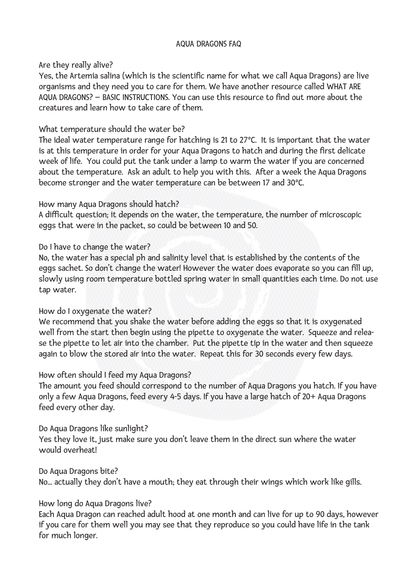#### AQUA DRAGONS FAQ

### Are they really alive?

Yes, the Artemia salina (which is the scientific name for what we call Aqua Dragons) are live organisms and they need you to care for them. We have another resource called WHAT ARE AQUA DRAGONS? – BASIC INSTRUCTIONS. You can use this resource to find out more about the creatures and learn how to take care of them.

# What temperature should the water be?

The ideal water temperature range for hatching is 21 to 27ºC. It is important that the water is at this temperature in order for your Aqua Dragons to hatch and during the first delicate week of life. You could put the tank under a lamp to warm the water if you are concerned about the temperature. Ask an adult to help you with this. After a week the Aqua Dragons become stronger and the water temperature can be between 17 and 30ºC.

## How many Aqua Dragons should hatch?

A difficult question; it depends on the water, the temperature, the number of microscopic eggs that were in the packet, so could be between 10 and 50.

## Do I have to change the water?

No, the water has a special ph and salinity level that is established by the contents of the eggs sachet. So don't change the water! However the water does evaporate so you can fill up, slowly using room temperature bottled spring water in small quantities each time. Do not use tap water.

### How do I oxygenate the water?

We recommend that you shake the water before adding the eggs so that it is oxygenated well from the start then begin using the pipette to oxygenate the water. Squeeze and release the pipette to let air into the chamber. Put the pipette tip in the water and then squeeze again to blow the stored air into the water. Repeat this for 30 seconds every few days.

### How often should I feed my Aqua Dragons?

The amount you feed should correspond to the number of Aqua Dragons you hatch. If you have only a few Aqua Dragons, feed every 4-5 days. If you have a large hatch of 20+ Aqua Dragons feed every other day.

### Do Aqua Dragons like sunlight?

Yes they love it, just make sure you don't leave them in the direct sun where the water would overheat!

### Do Aqua Dragons bite?

No... actually they don't have a mouth; they eat through their wings which work like gills.

# How long do Aqua Dragons live?

Each Aqua Dragon can reached adult hood at one month and can live for up to 90 days, however if you care for them well you may see that they reproduce so you could have life in the tank for much longer.